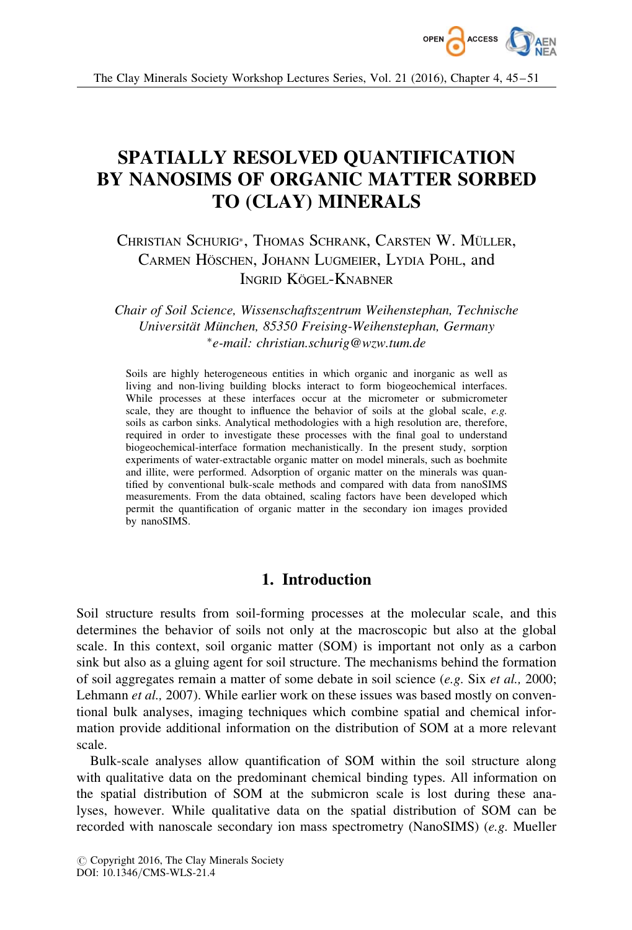

The Clay Minerals Society Workshop Lectures Series, Vol. 21 (2016), Chapter 4, 45–51

# SPATIALLY RESOLVED QUANTIFICATION BY NANOSIMS OF ORGANIC MATTER SORBED TO (CLAY) MINERALS

## Christian Schurig\*, Thomas Schrank, Carsten W. Müller, CARMEN HÖSCHEN, JOHANN LUGMEIER, LYDIA POHL, and INGRID KÖGEL-KNABNER

Chair of Soil Science, Wissenschaftszentrum Weihenstephan, Technische Universität München, 85350 Freising-Weihenstephan, Germany -e-mail: christian.schurig@wzw.tum.de

Soils are highly heterogeneous entities in which organic and inorganic as well as living and non-living building blocks interact to form biogeochemical interfaces. While processes at these interfaces occur at the micrometer or submicrometer scale, they are thought to influence the behavior of soils at the global scale, e.g. soils as carbon sinks. Analytical methodologies with a high resolution are, therefore, required in order to investigate these processes with the final goal to understand biogeochemical-interface formation mechanistically. In the present study, sorption experiments of water-extractable organic matter on model minerals, such as boehmite and illite, were performed. Adsorption of organic matter on the minerals was quantified by conventional bulk-scale methods and compared with data from nanoSIMS measurements. From the data obtained, scaling factors have been developed which permit the quantification of organic matter in the secondary ion images provided by nanoSIMS.

## 1. Introduction

Soil structure results from soil-forming processes at the molecular scale, and this determines the behavior of soils not only at the macroscopic but also at the global scale. In this context, soil organic matter (SOM) is important not only as a carbon sink but also as a gluing agent for soil structure. The mechanisms behind the formation of soil aggregates remain a matter of some debate in soil science  $(e, g, S$ ix et al., 2000; Lehmann *et al.*, 2007). While earlier work on these issues was based mostly on conventional bulk analyses, imaging techniques which combine spatial and chemical information provide additional information on the distribution of SOM at a more relevant scale.

Bulk-scale analyses allow quantification of SOM within the soil structure along with qualitative data on the predominant chemical binding types. All information on the spatial distribution of SOM at the submicron scale is lost during these analyses, however. While qualitative data on the spatial distribution of SOM can be recorded with nanoscale secondary ion mass spectrometry (NanoSIMS) (e.g. Mueller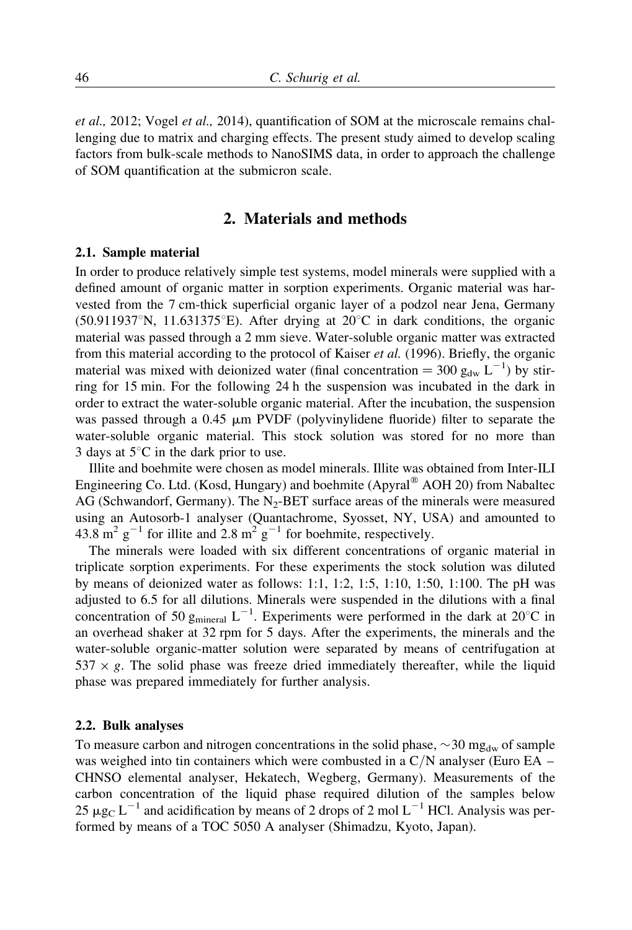et al., 2012; Vogel et al., 2014), quantification of SOM at the microscale remains challenging due to matrix and charging effects. The present study aimed to develop scaling factors from bulk-scale methods to NanoSIMS data, in order to approach the challenge of SOM quantification at the submicron scale.

### 2. Materials and methods

#### 2.1. Sample material

In order to produce relatively simple test systems, model minerals were supplied with a defined amount of organic matter in sorption experiments. Organic material was harvested from the 7 cm-thick superficial organic layer of a podzol near Jena, Germany (50.911937°N, 11.631375°E). After drying at  $20^{\circ}$ C in dark conditions, the organic material was passed through a 2 mm sieve. Water-soluble organic matter was extracted from this material according to the protocol of Kaiser et al. (1996). Briefly, the organic material was mixed with deionized water (final concentration =  $300 \text{ g}_{dw} L^{-1}$ ) by stirring for 15 min. For the following 24 h the suspension was incubated in the dark in order to extract the water-soluble organic material. After the incubation, the suspension was passed through a  $0.45 \mu m$  PVDF (polyvinylidene fluoride) filter to separate the water-soluble organic material. This stock solution was stored for no more than 3 days at  $5^{\circ}$ C in the dark prior to use.

Illite and boehmite were chosen as model minerals. Illite was obtained from Inter-ILI Engineering Co. Ltd. (Kosd, Hungary) and boehmite (Apyral<sup>®</sup> AOH 20) from Nabaltec AG (Schwandorf, Germany). The  $N<sub>2</sub>$ -BET surface areas of the minerals were measured using an Autosorb-1 analyser (Quantachrome, Syosset, NY, USA) and amounted to 43.8 m<sup>2</sup> g<sup>-1</sup> for illite and 2.8 m<sup>2</sup> g<sup>-1</sup> for boehmite, respectively.

The minerals were loaded with six different concentrations of organic material in triplicate sorption experiments. For these experiments the stock solution was diluted by means of deionized water as follows: 1:1, 1:2, 1:5, 1:10, 1:50, 1:100. The pH was adjusted to 6.5 for all dilutions. Minerals were suspended in the dilutions with a final concentration of 50  $g_{\text{mineral}} L^{-1}$ . Experiments were performed in the dark at 20°C in an overhead shaker at 32 rpm for 5 days. After the experiments, the minerals and the water-soluble organic-matter solution were separated by means of centrifugation at  $537 \times g$ . The solid phase was freeze dried immediately thereafter, while the liquid phase was prepared immediately for further analysis.

#### 2.2. Bulk analyses

To measure carbon and nitrogen concentrations in the solid phase,  $\sim$ 30 mg<sub>dw</sub> of sample was weighed into tin containers which were combusted in a  $C/N$  analyser (Euro EA – CHNSO elemental analyser, Hekatech, Wegberg, Germany). Measurements of the carbon concentration of the liquid phase required dilution of the samples below  $25 \mu g_C L^{-1}$  and acidification by means of 2 drops of 2 mol  $L^{-1}$  HCl. Analysis was performed by means of a TOC 5050 A analyser (Shimadzu, Kyoto, Japan).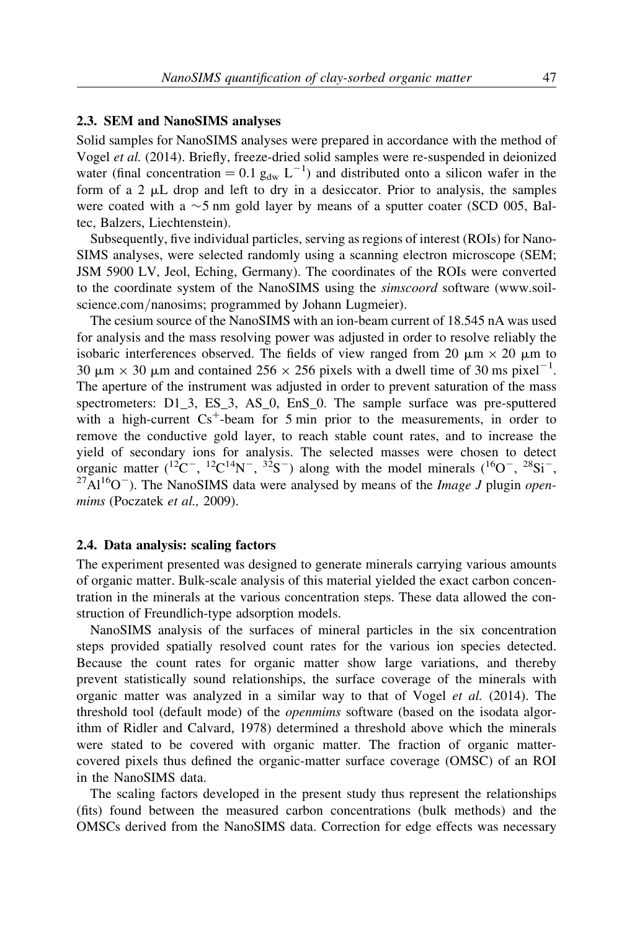#### 2.3. SEM and NanoSIMS analyses

Solid samples for NanoSIMS analyses were prepared in accordance with the method of Vogel et al. (2014). Briefly, freeze-dried solid samples were re-suspended in deionized water (final concentration =  $0.1 g_{dw} L^{-1}$ ) and distributed onto a silicon wafer in the form of a 2  $\mu$ L drop and left to dry in a desiccator. Prior to analysis, the samples were coated with a  $\sim$ 5 nm gold layer by means of a sputter coater (SCD 005, Baltec, Balzers, Liechtenstein).

Subsequently, five individual particles, serving as regions of interest (ROIs) for Nano-SIMS analyses, were selected randomly using a scanning electron microscope (SEM; JSM 5900 LV, Jeol, Eching, Germany). The coordinates of the ROIs were converted to the coordinate system of the NanoSIMS using the simscoord software (www.soilscience.com/nanosims; programmed by Johann Lugmeier).

The cesium source of the NanoSIMS with an ion-beam current of 18.545 nA was used for analysis and the mass resolving power was adjusted in order to resolve reliably the isobaric interferences observed. The fields of view ranged from 20  $\mu$ m  $\times$  20  $\mu$ m to 30  $\mu$ m  $\times$  30  $\mu$ m and contained 256  $\times$  256 pixels with a dwell time of 30 ms pixel<sup>-1</sup>. The aperture of the instrument was adjusted in order to prevent saturation of the mass spectrometers: D1\_3, ES\_3, AS\_0, EnS\_0. The sample surface was pre-sputtered with a high-current  $Cs^+$ -beam for 5 min prior to the measurements, in order to remove the conductive gold layer, to reach stable count rates, and to increase the yield of secondary ions for analysis. The selected masses were chosen to detect organic matter (<sup>12</sup>C<sup>-</sup>, <sup>12</sup>C<sup>14</sup>N<sup>-</sup>, <sup>32</sup>S<sup>-</sup>) along with the model minerals (<sup>16</sup>O<sup>-</sup>, <sup>28</sup>Si<sup>-</sup>, <sup>27</sup>Al<sup>16</sup>O<sup>-</sup>). The NanoSIMS data were analysed by means of the *Image J* plugin *open*mims (Poczatek et al., 2009).

#### 2.4. Data analysis: scaling factors

The experiment presented was designed to generate minerals carrying various amounts of organic matter. Bulk-scale analysis of this material yielded the exact carbon concentration in the minerals at the various concentration steps. These data allowed the construction of Freundlich-type adsorption models.

NanoSIMS analysis of the surfaces of mineral particles in the six concentration steps provided spatially resolved count rates for the various ion species detected. Because the count rates for organic matter show large variations, and thereby prevent statistically sound relationships, the surface coverage of the minerals with organic matter was analyzed in a similar way to that of Vogel et al. (2014). The threshold tool (default mode) of the openmims software (based on the isodata algorithm of Ridler and Calvard, 1978) determined a threshold above which the minerals were stated to be covered with organic matter. The fraction of organic mattercovered pixels thus defined the organic-matter surface coverage (OMSC) of an ROI in the NanoSIMS data.

The scaling factors developed in the present study thus represent the relationships (fits) found between the measured carbon concentrations (bulk methods) and the OMSCs derived from the NanoSIMS data. Correction for edge effects was necessary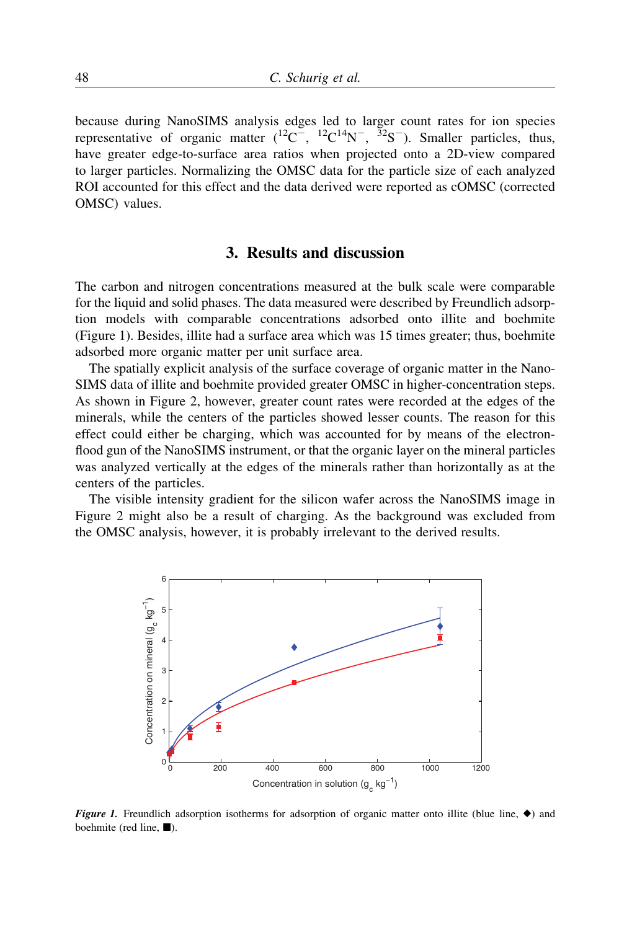because during NanoSIMS analysis edges led to larger count rates for ion species representative of organic matter  $(1^2C^-, 1^2C^{14}N^-, 3^2S^-)$ . Smaller particles, thus, have greater edge-to-surface area ratios when projected onto a 2D-view compared to larger particles. Normalizing the OMSC data for the particle size of each analyzed ROI accounted for this effect and the data derived were reported as cOMSC (corrected OMSC) values.

## 3. Results and discussion

The carbon and nitrogen concentrations measured at the bulk scale were comparable for the liquid and solid phases. The data measured were described by Freundlich adsorption models with comparable concentrations adsorbed onto illite and boehmite (Figure 1). Besides, illite had a surface area which was 15 times greater; thus, boehmite adsorbed more organic matter per unit surface area.

The spatially explicit analysis of the surface coverage of organic matter in the Nano-SIMS data of illite and boehmite provided greater OMSC in higher-concentration steps. As shown in Figure 2, however, greater count rates were recorded at the edges of the minerals, while the centers of the particles showed lesser counts. The reason for this effect could either be charging, which was accounted for by means of the electronflood gun of the NanoSIMS instrument, or that the organic layer on the mineral particles was analyzed vertically at the edges of the minerals rather than horizontally as at the centers of the particles.

The visible intensity gradient for the silicon wafer across the NanoSIMS image in Figure 2 might also be a result of charging. As the background was excluded from the OMSC analysis, however, it is probably irrelevant to the derived results.



**Figure 1.** Freundlich adsorption isotherms for adsorption of organic matter onto illite (blue line,  $\blacklozenge$ ) and boehmite (red line,  $\blacksquare$ ).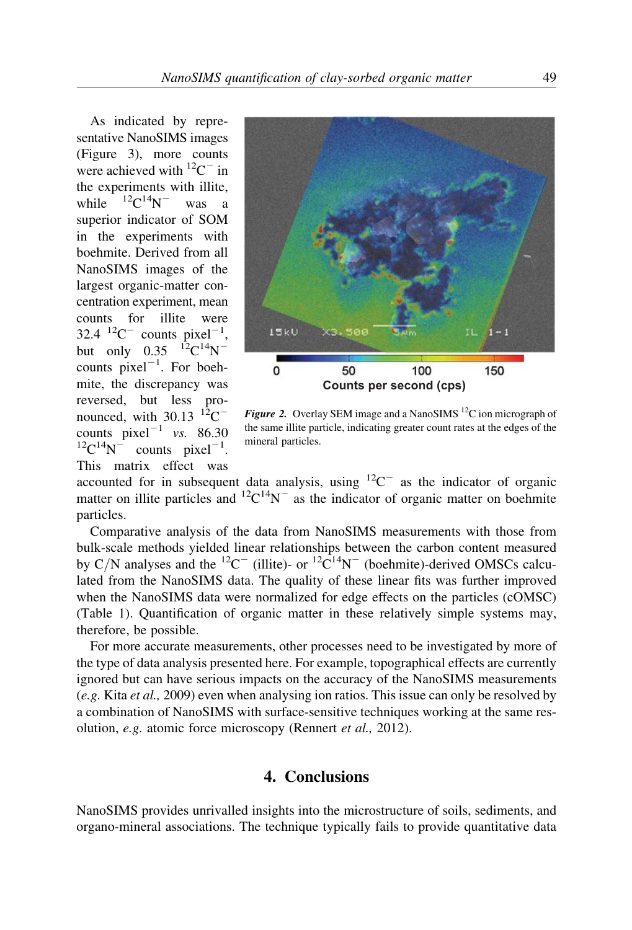As indicated by representative NanoSIMS images (Figure 3), more counts were achieved with  ${}^{12}C^-$  in the experiments with illite, while  ${}^{12}C^{14}N^-$  was a superior indicator of SOM in the experiments with boehmite. Derived from all NanoSIMS images of the largest organic-matter concentration experiment, mean counts for illite were 32.4  $^{12}C^{-}$  counts pixel<sup>-1</sup>, but only  $0.35$   $^{12}$ C<sup>14</sup>N<sup>-</sup> counts  $pixel^{-1}$ . For boehmite, the discrepancy was reversed, but less pronounced, with  $30.13$   $12^{\circ}$ C<sup>-</sup> counts  $pixel^{-1}$  vs. 86.30  $^{12}$ C<sup>14</sup>N<sup>-</sup> counts pixel<sup>-1</sup>. This matrix effect was



Figure 2. Overlay SEM image and a NanoSIMS  $^{12}C$  ion micrograph of the same illite particle, indicating greater count rates at the edges of the mineral particles.

accounted for in subsequent data analysis, using  $^{12}C^{-}$  as the indicator of organic matter on illite particles and  ${}^{12}C^{14}N^-$  as the indicator of organic matter on boehmite particles.

Comparative analysis of the data from NanoSIMS measurements with those from bulk-scale methods yielded linear relationships between the carbon content measured by C/N analyses and the <sup>12</sup>C<sup>-</sup> (illite)- or <sup>12</sup>C<sup>14</sup>N<sup>-</sup> (boehmite)-derived OMSCs calculated from the NanoSIMS data. The quality of these linear fits was further improved when the NanoSIMS data were normalized for edge effects on the particles (cOMSC) (Table 1). Quantification of organic matter in these relatively simple systems may, therefore, be possible.

For more accurate measurements, other processes need to be investigated by more of the type of data analysis presented here. For example, topographical effects are currently ignored but can have serious impacts on the accuracy of the NanoSIMS measurements (e.g. Kita et al., 2009) even when analysing ion ratios. This issue can only be resolved by a combination of NanoSIMS with surface-sensitive techniques working at the same resolution, e.g. atomic force microscopy (Rennert et al., 2012).

## 4. Conclusions

NanoSIMS provides unrivalled insights into the microstructure of soils, sediments, and organo-mineral associations. The technique typically fails to provide quantitative data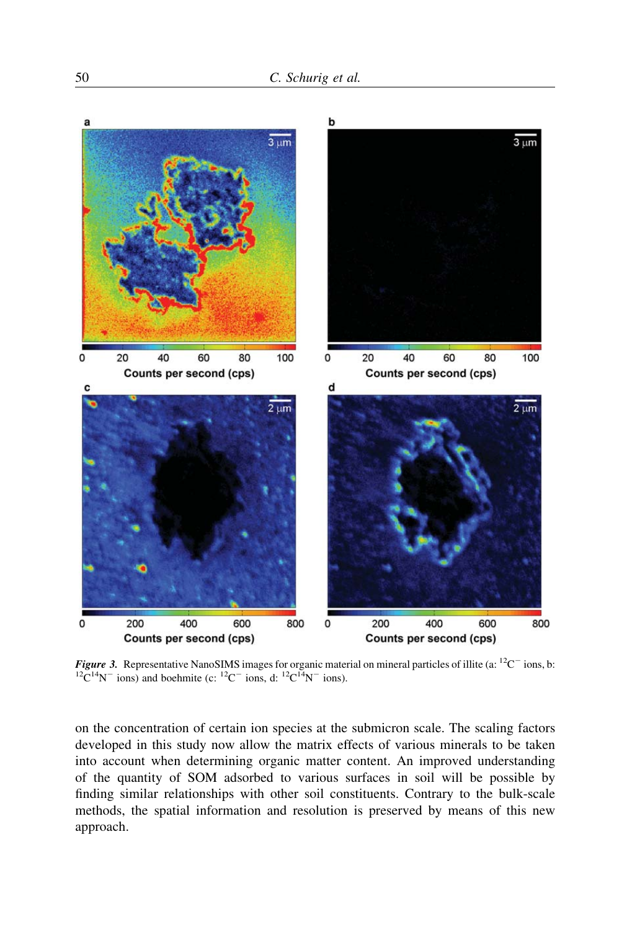

**Figure 3.** Representative NanoSIMS images for organic material on mineral particles of illite (a: <sup>12</sup>C<sup>-1</sup> ions, b: <sup>12</sup>C<sup>14</sup>N<sup>-1</sup> ions) and boehmite (c: <sup>12</sup>C<sup>-1</sup> ions, d: <sup>12</sup>C<sup>14</sup>N<sup>-1</sup> ions).

on the concentration of certain ion species at the submicron scale. The scaling factors developed in this study now allow the matrix effects of various minerals to be taken into account when determining organic matter content. An improved understanding of the quantity of SOM adsorbed to various surfaces in soil will be possible by finding similar relationships with other soil constituents. Contrary to the bulk-scale methods, the spatial information and resolution is preserved by means of this new approach.